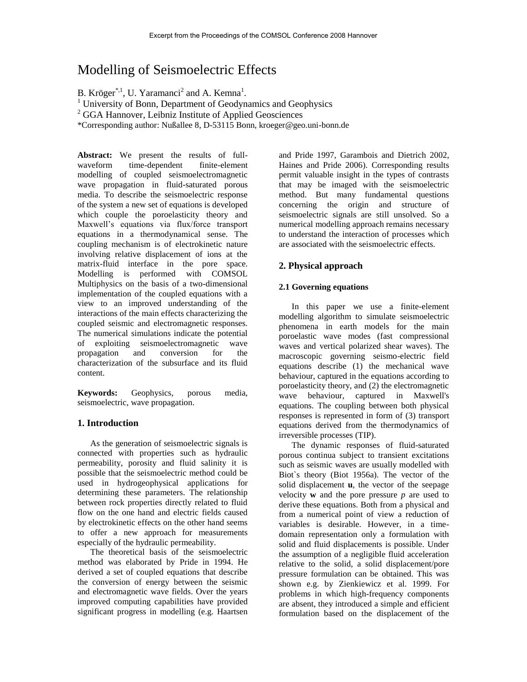# Modelling of Seismoelectric Effects

B. Kröger<sup>\*,1</sup>, U. Yaramanci<sup>2</sup> and A. Kemna<sup>1</sup>.

<sup>1</sup> University of Bonn, Department of Geodynamics and Geophysics

<sup>2</sup> GGA Hannover, Leibniz Institute of Applied Geosciences

\*Corresponding author: Nußallee 8, D-53115 Bonn, kroeger@geo.uni-bonn.de

**Abstract:** We present the results of fullwaveform time-dependent finite-element modelling of coupled seismoelectromagnetic wave propagation in fluid-saturated porous media. To describe the seismoelectric response of the system a new set of equations is developed which couple the poroelasticity theory and Maxwell's equations via flux/force transport equations in a thermodynamical sense. The coupling mechanism is of electrokinetic nature involving relative displacement of ions at the matrix-fluid interface in the pore space. Modelling is performed with COMSOL Multiphysics on the basis of a two-dimensional implementation of the coupled equations with a view to an improved understanding of the interactions of the main effects characterizing the coupled seismic and electromagnetic responses. The numerical simulations indicate the potential of exploiting seismoelectromagnetic wave propagation and conversion for the characterization of the subsurface and its fluid content.

**Keywords:** Geophysics, porous media, seismoelectric, wave propagation.

# **1. Introduction**

As the generation of seismoelectric signals is connected with properties such as hydraulic permeability, porosity and fluid salinity it is possible that the seismoelectric method could be used in hydrogeophysical applications for determining these parameters. The relationship between rock properties directly related to fluid flow on the one hand and electric fields caused by electrokinetic effects on the other hand seems to offer a new approach for measurements especially of the hydraulic permeability.

The theoretical basis of the seismoelectric method was elaborated by Pride in 1994. He derived a set of coupled equations that describe the conversion of energy between the seismic and electromagnetic wave fields. Over the years improved computing capabilities have provided significant progress in modelling (e.g. Haartsen

and Pride 1997, Garambois and Dietrich 2002, Haines and Pride 2006). Corresponding results permit valuable insight in the types of contrasts that may be imaged with the seismoelectric method. But many fundamental questions concerning the origin and structure of seismoelectric signals are still unsolved. So a numerical modelling approach remains necessary to understand the interaction of processes which are associated with the seismoelectric effects.

# **2. Physical approach**

# **2.1 Governing equations**

In this paper we use a finite-element modelling algorithm to simulate seismoelectric phenomena in earth models for the main poroelastic wave modes (fast compressional waves and vertical polarized shear waves). The macroscopic governing seismo-electric field equations describe (1) the mechanical wave behaviour, captured in the equations according to poroelasticity theory, and (2) the electromagnetic wave behaviour, captured in Maxwell's equations. The coupling between both physical responses is represented in form of (3) transport equations derived from the thermodynamics of irreversible processes (TIP).

The dynamic responses of fluid-saturated porous continua subject to transient excitations such as seismic waves are usually modelled with Biot`s theory (Biot 1956a). The vector of the solid displacement **u**, the vector of the seepage velocity **w** and the pore pressure  $p$  are used to derive these equations. Both from a physical and from a numerical point of view a reduction of variables is desirable. However, in a timedomain representation only a formulation with solid and fluid displacements is possible. Under the assumption of a negligible fluid acceleration relative to the solid, a solid displacement/pore pressure formulation can be obtained. This was shown e.g. by Zienkiewicz et al. 1999. For problems in which high-frequency components are absent, they introduced a simple and efficient formulation based on the displacement of the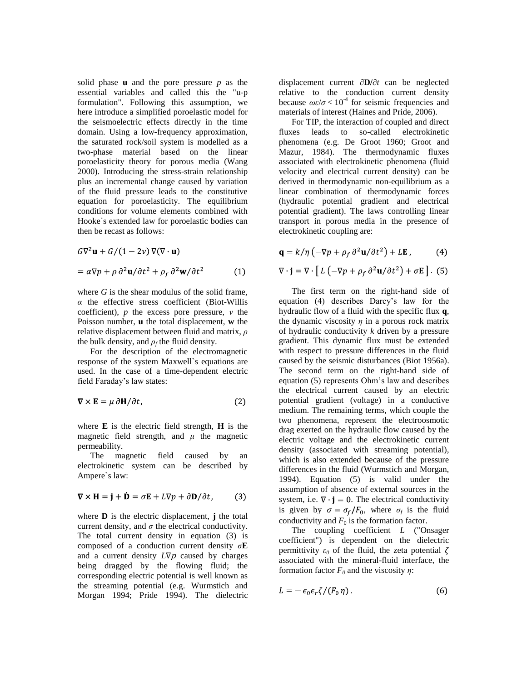solid phase **u** and the pore pressure *p* as the essential variables and called this the "u-p formulation". Following this assumption, we here introduce a simplified poroelastic model for the seismoelectric effects directly in the time domain. Using a low-frequency approximation, the saturated rock/soil system is modelled as a two-phase material based on the linear poroelasticity theory for porous media (Wang 2000). Introducing the stress-strain relationship plus an incremental change caused by variation of the fluid pressure leads to the constitutive equation for poroelasticity. The equilibrium conditions for volume elements combined with Hooke`s extended law for poroelastic bodies can then be recast as follows:

$$
G\nabla^2 \mathbf{u} + G/(1 - 2\nu) \nabla(\nabla \cdot \mathbf{u})
$$
  
=  $\alpha \nabla p + \rho \partial^2 \mathbf{u}/\partial t^2 + \rho_f \partial^2 \mathbf{w}/\partial t^2$  (1)

where *G* is the shear modulus of the solid frame, *α* the effective stress coefficient (Biot-Willis coefficient), *p* the excess pore pressure, *ν* the Poisson number, **u** the total displacement, **w** the relative displacement between fluid and matrix, *ρ* the bulk density, and  $\rho_f$  the fluid density.

For the description of the electromagnetic response of the system Maxwell`s equations are used. In the case of a time-dependent electric field Faraday's law states:

$$
\nabla \times \mathbf{E} = \mu \, \partial \mathbf{H} / \partial t,\tag{2}
$$

where  $\bf{E}$  is the electric field strength,  $\bf{H}$  is the magnetic field strength, and  $\mu$  the magnetic permeability.

The magnetic field caused by an electrokinetic system can be described by Ampere`s law:

$$
\nabla \times \mathbf{H} = \mathbf{j} + \dot{\mathbf{D}} = \sigma \mathbf{E} + L \nabla p + \partial \mathbf{D} / \partial t, \quad (3)
$$

where **D** is the electric displacement, **j** the total current density, and  $\sigma$  the electrical conductivity. The total current density in equation (3) is composed of a conduction current density *σ***E**  and a current density *L*∇<sup>p</sup> caused by charges being dragged by the flowing fluid; the corresponding electric potential is well known as the streaming potential (e.g. Wurmstich and Morgan 1994; Pride 1994). The dielectric

displacement current ∂**D/**∂*t* can be neglected relative to the conduction current density because  $\omega \varepsilon / \sigma$  < 10<sup>-4</sup> for seismic frequencies and materials of interest (Haines and Pride, 2006).

For TIP, the interaction of coupled and direct fluxes leads to so-called electrokinetic phenomena (e.g. De Groot 1960; Groot and Mazur, 1984). The thermodynamic fluxes associated with electrokinetic phenomena (fluid velocity and electrical current density) can be derived in thermodynamic non-equilibrium as a linear combination of thermodynamic forces (hydraulic potential gradient and electrical potential gradient). The laws controlling linear transport in porous media in the presence of electrokinetic coupling are:

$$
\mathbf{q} = k/\eta \left( -\nabla p + \rho_f \, \partial^2 \mathbf{u} / \partial t^2 \right) + L \mathbf{E} \,, \tag{4}
$$

$$
\nabla \cdot \mathbf{j} = \nabla \cdot [L(-\nabla p + \rho_f \partial^2 \mathbf{u}/\partial t^2) + \sigma \mathbf{E}].
$$
 (5)

The first term on the right-hand side of equation (4) describes Darcy's law for the hydraulic flow of a fluid with the specific flux **q**, the dynamic viscosity  $\eta$  in a porous rock matrix of hydraulic conductivity *k* driven by a pressure gradient. This dynamic flux must be extended with respect to pressure differences in the fluid caused by the seismic disturbances (Biot 1956a). The second term on the right-hand side of equation (5) represents Ohm's law and describes the electrical current caused by an electric potential gradient (voltage) in a conductive medium. The remaining terms, which couple the two phenomena, represent the electroosmotic drag exerted on the hydraulic flow caused by the electric voltage and the electrokinetic current density (associated with streaming potential), which is also extended because of the pressure differences in the fluid (Wurmstich and Morgan, 1994). Equation (5) is valid under the assumption of absence of external sources in the system, i.e.  $\nabla \cdot \mathbf{j} = 0$ . The electrical conductivity is given by  $\sigma = \sigma_f/F_0$ , where  $\sigma_f$  is the fluid conductivity and  $F_0$  is the formation factor.

The coupling coefficient *L* ("Onsager coefficient") is dependent on the dielectric permittivity  $\varepsilon_0$  of the fluid, the zeta potential  $\zeta$ associated with the mineral-fluid interface, the formation factor *F<sup>0</sup>* and the viscosity *η*:

$$
L = -\epsilon_0 \epsilon_r \zeta / (F_0 \eta) \tag{6}
$$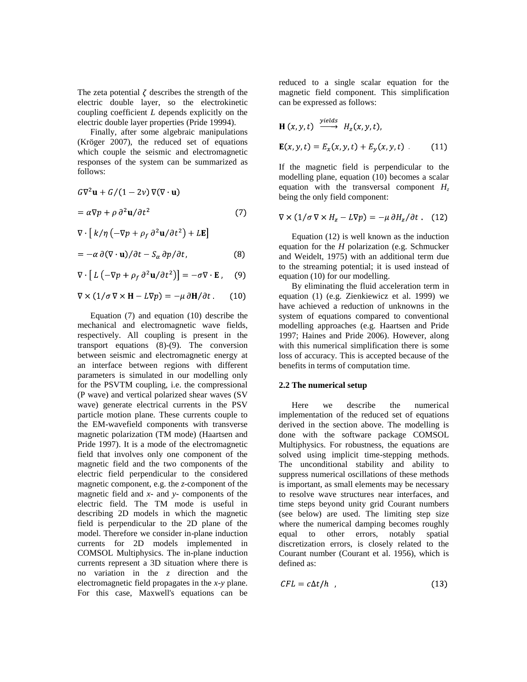The zeta potential  $\zeta$  describes the strength of the electric double layer, so the electrokinetic coupling coefficient *L* depends explicitly on the electric double layer properties (Pride 19994).

Finally, after some algebraic manipulations (Kröger 2007), the reduced set of equations which couple the seismic and electromagnetic responses of the system can be summarized as follows:

$$
G\nabla^2 \mathbf{u} + G/(1 - 2\nu) \nabla(\nabla \cdot \mathbf{u})
$$
  
=  $\alpha \nabla p + \rho \partial^2 \mathbf{u} / \partial t^2$  (7)  

$$
\nabla \cdot [k/\eta (-\nabla p + \rho_f \partial^2 \mathbf{u} / \partial t^2) + L\mathbf{E}]
$$

$$
= -\alpha \,\partial (\nabla \cdot \mathbf{u}) / \partial t - S_{\alpha} \,\partial p / \partial t, \tag{8}
$$

$$
\nabla \cdot [L(-\nabla p + \rho_f \partial^2 \mathbf{u}/\partial t^2)] = -\sigma \nabla \cdot \mathbf{E}, \quad (9)
$$

$$
\nabla \times (1/\sigma \, \nabla \times \mathbf{H} - L \nabla p) = -\mu \, \partial \mathbf{H} / \partial t \,. \tag{10}
$$

Equation (7) and equation (10) describe the mechanical and electromagnetic wave fields, respectively. All coupling is present in the transport equations (8)-(9). The conversion between seismic and electromagnetic energy at an interface between regions with different parameters is simulated in our modelling only for the PSVTM coupling, i.e. the compressional (P wave) and vertical polarized shear waves (SV wave) generate electrical currents in the PSV particle motion plane. These currents couple to the EM-wavefield components with transverse magnetic polarization (TM mode) (Haartsen and Pride 1997). It is a mode of the electromagnetic field that involves only one component of the magnetic field and the two components of the electric field perpendicular to the considered magnetic component, e.g. the *z*-component of the magnetic field and *x*- and *y*- components of the electric field. The TM mode is useful in describing 2D models in which the magnetic field is perpendicular to the 2D plane of the model. Therefore we consider in-plane induction currents for 2D models implemented in COMSOL Multiphysics. The in-plane induction currents represent a 3D situation where there is no variation in the *z* direction and the electromagnetic field propagates in the *x*-*y* plane. For this case, Maxwell's equations can be

reduced to a single scalar equation for the magnetic field component. This simplification can be expressed as follows:

$$
\begin{aligned} \mathbf{H}(x, y, t) & \xrightarrow{\text{yields}} H_z(x, y, t), \\ \mathbf{E}(x, y, t) &= E_x(x, y, t) + E_y(x, y, t) \end{aligned} \tag{11}
$$

If the magnetic field is perpendicular to the modelling plane, equation (10) becomes a scalar equation with the transversal component  $H_z$ being the only field component:

$$
\nabla \times (1/\sigma \, \nabla \times H_z - L \nabla p) = -\mu \, \partial H_z / \partial t \qquad (12)
$$

Equation (12) is well known as the induction equation for the *H* polarization (e.g. Schmucker and Weidelt, 1975) with an additional term due to the streaming potential; it is used instead of equation (10) for our modelling.

By eliminating the fluid acceleration term in equation (1) (e.g. Zienkiewicz et al. 1999) we have achieved a reduction of unknowns in the system of equations compared to conventional modelling approaches (e.g. Haartsen and Pride 1997; Haines and Pride 2006). However, along with this numerical simplification there is some loss of accuracy. This is accepted because of the benefits in terms of computation time.

#### **2.2 The numerical setup**

Here we describe the numerical implementation of the reduced set of equations derived in the section above. The modelling is done with the software package COMSOL Multiphysics. For robustness, the equations are solved using implicit time-stepping methods. The unconditional stability and ability to suppress numerical oscillations of these methods is important, as small elements may be necessary to resolve wave structures near interfaces, and time steps beyond unity grid Courant numbers (see below) are used. The limiting step size where the numerical damping becomes roughly equal to other errors, notably spatial discretization errors, is closely related to the Courant number (Courant et al. 1956), which is defined as:

$$
CFL = c\Delta t/h \quad , \tag{13}
$$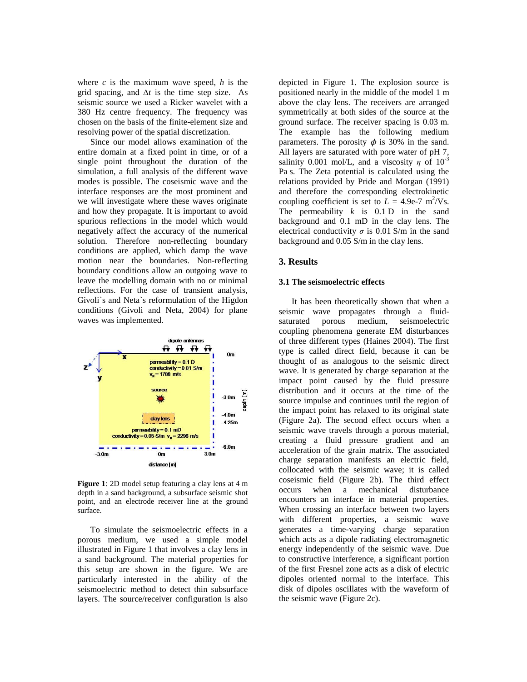where *c* is the maximum wave speed, *h* is the grid spacing, and ∆*t* is the time step size. As seismic source we used a Ricker wavelet with a 380 Hz centre frequency. The frequency was chosen on the basis of the finite-element size and resolving power of the spatial discretization.

Since our model allows examination of the entire domain at a fixed point in time, or of a single point throughout the duration of the simulation, a full analysis of the different wave modes is possible. The coseismic wave and the interface responses are the most prominent and we will investigate where these waves originate and how they propagate. It is important to avoid spurious reflections in the model which would negatively affect the accuracy of the numerical solution. Therefore non-reflecting boundary conditions are applied, which damp the wave motion near the boundaries. Non-reflecting boundary conditions allow an outgoing wave to leave the modelling domain with no or minimal reflections. For the case of transient analysis, Givoli`s and Neta`s reformulation of the Higdon conditions (Givoli and Neta, 2004) for plane waves was implemented.



**Figure 1**: 2D model setup featuring a clay lens at 4 m depth in a sand background, a subsurface seismic shot point, and an electrode receiver line at the ground surface.

To simulate the seismoelectric effects in a porous medium, we used a simple model illustrated in Figure 1 that involves a clay lens in a sand background. The material properties for this setup are shown in the figure. We are particularly interested in the ability of the seismoelectric method to detect thin subsurface layers. The source/receiver configuration is also

depicted in Figure 1. The explosion source is positioned nearly in the middle of the model 1 m above the clay lens. The receivers are arranged symmetrically at both sides of the source at the ground surface. The receiver spacing is 0.03 m. The example has the following medium parameters. The porosity  $\phi$  is 30% in the sand. All layers are saturated with pore water of pH 7, salinity 0.001 mol/L, and a viscosity  $\eta$  of 10<sup>-3</sup> Pa s. The Zeta potential is calculated using the relations provided by Pride and Morgan (1991) and therefore the corresponding electrokinetic coupling coefficient is set to  $L = 4.9e-7$  m<sup>2</sup>/Vs. The permeability *k* is 0.1 D in the sand background and 0.1 mD in the clay lens. The electrical conductivity  $\sigma$  is 0.01 S/m in the sand background and 0.05 S/m in the clay lens.

## **3. Results**

#### **3.1 The seismoelectric effects**

It has been theoretically shown that when a seismic wave propagates through a fluidsaturated porous medium, seismoelectric coupling phenomena generate EM disturbances of three different types (Haines 2004). The first type is called direct field, because it can be thought of as analogous to the seismic direct wave. It is generated by charge separation at the impact point caused by the fluid pressure distribution and it occurs at the time of the source impulse and continues until the region of the impact point has relaxed to its original state (Figure 2a). The second effect occurs when a seismic wave travels through a porous material, creating a fluid pressure gradient and an acceleration of the grain matrix. The associated charge separation manifests an electric field, collocated with the seismic wave; it is called coseismic field (Figure 2b). The third effect occurs when a mechanical disturbance encounters an interface in material properties. When crossing an interface between two layers with different properties, a seismic wave generates a time-varying charge separation which acts as a dipole radiating electromagnetic energy independently of the seismic wave. Due to constructive interference, a significant portion of the first Fresnel zone acts as a disk of electric dipoles oriented normal to the interface. This disk of dipoles oscillates with the waveform of the seismic wave (Figure 2c).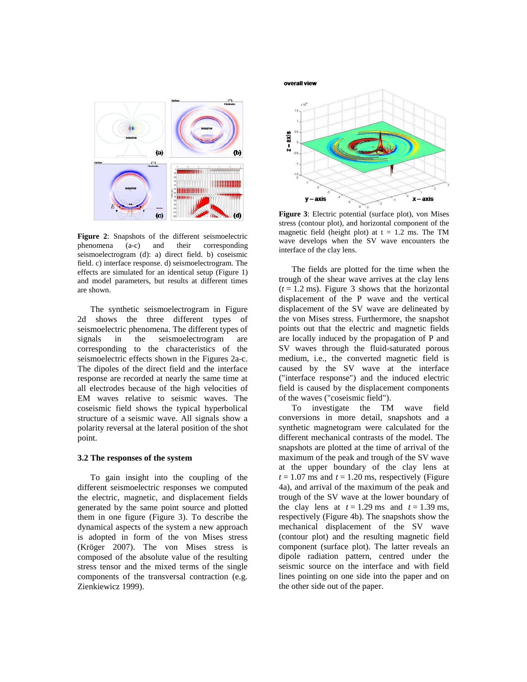

**Figure 2**: Snapshots of the different seismoelectric phenomena (a-c) and their corresponding seismoelectrogram (d): a) direct field. b) coseismic field. c) interface response. d) seismoelectrogram. The effects are simulated for an identical setup (Figure 1) and model parameters, but results at different times are shown.

The synthetic seismoelectrogram in Figure 2d shows the three different types of seismoelectric phenomena. The different types of signals in the seismoelectrogram are corresponding to the characteristics of the seismoelectric effects shown in the Figures 2a-c. The dipoles of the direct field and the interface response are recorded at nearly the same time at all electrodes because of the high velocities of EM waves relative to seismic waves. The coseismic field shows the typical hyperbolical structure of a seismic wave. All signals show a polarity reversal at the lateral position of the shot point.

#### **3.2 The responses of the system**

To gain insight into the coupling of the different seismoelectric responses we computed the electric, magnetic, and displacement fields generated by the same point source and plotted them in one figure (Figure 3). To describe the dynamical aspects of the system a new approach is adopted in form of the von Mises stress (Kröger 2007). The von Mises stress is composed of the absolute value of the resulting stress tensor and the mixed terms of the single components of the transversal contraction (e.g. Zienkiewicz 1999).

overall view



**Figure 3**: Electric potential (surface plot), von Mises stress (contour plot), and horizontal component of the magnetic field (height plot) at  $t = 1.2$  ms. The TM wave develops when the SV wave encounters the interface of the clay lens.

The fields are plotted for the time when the trough of the shear wave arrives at the clay lens  $(t = 1.2 \text{ ms})$ . Figure 3 shows that the horizontal displacement of the P wave and the vertical displacement of the SV wave are delineated by the von Mises stress. Furthermore, the snapshot points out that the electric and magnetic fields are locally induced by the propagation of P and SV waves through the fluid-saturated porous medium, i.e., the converted magnetic field is caused by the SV wave at the interface ("interface response") and the induced electric field is caused by the displacement components of the waves ("coseismic field").

To investigate the TM wave field conversions in more detail, snapshots and a synthetic magnetogram were calculated for the different mechanical contrasts of the model. The snapshots are plotted at the time of arrival of the maximum of the peak and trough of the SV wave at the upper boundary of the clay lens at  $t = 1.07$  ms and  $t = 1.20$  ms, respectively (Figure 4a), and arrival of the maximum of the peak and trough of the SV wave at the lower boundary of the clay lens at  $t = 1.29$  ms and  $t = 1.39$  ms, respectively (Figure 4b). The snapshots show the mechanical displacement of the SV wave (contour plot) and the resulting magnetic field component (surface plot). The latter reveals an dipole radiation pattern, centred under the seismic source on the interface and with field lines pointing on one side into the paper and on the other side out of the paper.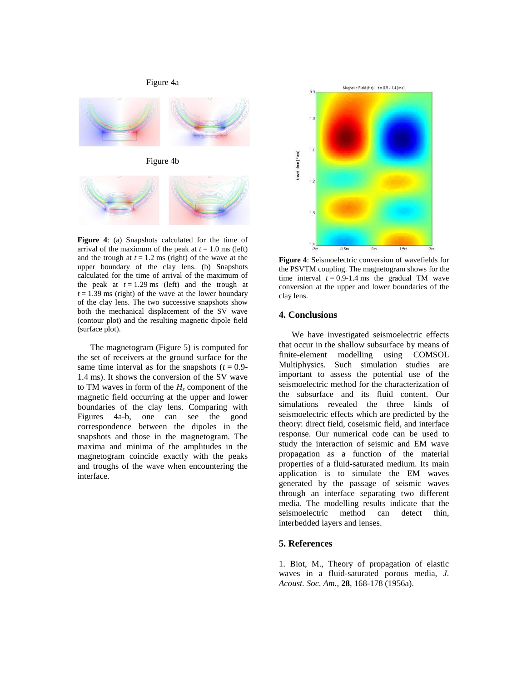### Figure 4a



**Figure 4**: (a) Snapshots calculated for the time of arrival of the maximum of the peak at  $t = 1.0$  ms (left) and the trough at  $t = 1.2$  ms (right) of the wave at the upper boundary of the clay lens. (b) Snapshots calculated for the time of arrival of the maximum of the peak at  $t = 1.29$  ms (left) and the trough at  $t = 1.39$  ms (right) of the wave at the lower boundary of the clay lens. The two successive snapshots show both the mechanical displacement of the SV wave (contour plot) and the resulting magnetic dipole field (surface plot).

The magnetogram (Figure 5) is computed for the set of receivers at the ground surface for the same time interval as for the snapshots  $(t = 0.9$ -1.4 ms). It shows the conversion of the SV wave to TM waves in form of the  $H$ <sup>z</sup> component of the magnetic field occurring at the upper and lower boundaries of the clay lens. Comparing with Figures 4a-b, one can see the good correspondence between the dipoles in the snapshots and those in the magnetogram. The maxima and minima of the amplitudes in the magnetogram coincide exactly with the peaks and troughs of the wave when encountering the interface.



**Figure 4**: Seismoelectric conversion of wavefields for the PSVTM coupling. The magnetogram shows for the time interval  $t = 0.9 - 1.4$  ms the gradual TM wave conversion at the upper and lower boundaries of the clay lens.

# **4. Conclusions**

We have investigated seismoelectric effects that occur in the shallow subsurface by means of finite-element modelling using COMSOL Multiphysics. Such simulation studies are important to assess the potential use of the seismoelectric method for the characterization of the subsurface and its fluid content. Our simulations revealed the three kinds of seismoelectric effects which are predicted by the theory: direct field, coseismic field, and interface response. Our numerical code can be used to study the interaction of seismic and EM wave propagation as a function of the material properties of a fluid-saturated medium. Its main application is to simulate the EM waves generated by the passage of seismic waves through an interface separating two different media. The modelling results indicate that the seismoelectric method can detect thin, interbedded layers and lenses.

# **5. References**

1. Biot, M., Theory of propagation of elastic waves in a fluid-saturated porous media, *J. Acoust. Soc. Am.*, **28**, 168-178 (1956a).